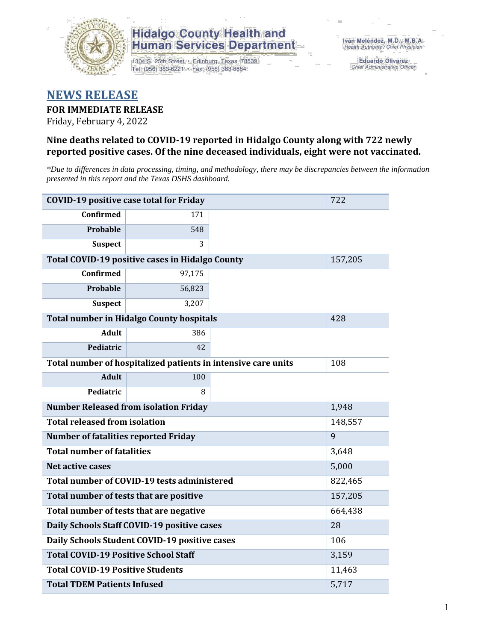

1304 S. 25th Street · Edinburg, Texas 78539 Tel: (956) 383-6221 · Fax: (956) 383-8864

**Eduardo Olivarez** Chief Administrative Officer

#### **NEWS RELEASE**

#### **FOR IMMEDIATE RELEASE**

Friday, February 4, 2022

#### **Nine deaths related to COVID-19 reported in Hidalgo County along with 722 newly reported positive cases. Of the nine deceased individuals, eight were not vaccinated.**

*\*Due to differences in data processing, timing, and methodology, there may be discrepancies between the information presented in this report and the Texas DSHS dashboard.*

| <b>COVID-19 positive case total for Friday</b>    |                                                               |         | 722     |  |  |
|---------------------------------------------------|---------------------------------------------------------------|---------|---------|--|--|
| <b>Confirmed</b>                                  | 171                                                           |         |         |  |  |
| Probable                                          | 548                                                           |         |         |  |  |
| <b>Suspect</b>                                    | 3                                                             |         |         |  |  |
| Total COVID-19 positive cases in Hidalgo County   |                                                               | 157,205 |         |  |  |
| Confirmed                                         | 97,175                                                        |         |         |  |  |
| Probable                                          | 56,823                                                        |         |         |  |  |
| <b>Suspect</b>                                    | 3,207                                                         |         |         |  |  |
|                                                   | <b>Total number in Hidalgo County hospitals</b>               |         | 428     |  |  |
| <b>Adult</b>                                      | 386                                                           |         |         |  |  |
| Pediatric                                         | 42                                                            |         |         |  |  |
|                                                   | Total number of hospitalized patients in intensive care units | 108     |         |  |  |
| <b>Adult</b>                                      | 100                                                           |         |         |  |  |
| Pediatric                                         | 8                                                             |         |         |  |  |
|                                                   | <b>Number Released from isolation Friday</b>                  |         | 1,948   |  |  |
| <b>Total released from isolation</b>              |                                                               |         | 148,557 |  |  |
| <b>Number of fatalities reported Friday</b>       |                                                               |         | 9       |  |  |
| <b>Total number of fatalities</b>                 |                                                               |         | 3,648   |  |  |
| <b>Net active cases</b>                           |                                                               |         | 5,000   |  |  |
|                                                   | Total number of COVID-19 tests administered                   |         | 822,465 |  |  |
| Total number of tests that are positive           |                                                               |         | 157,205 |  |  |
|                                                   | Total number of tests that are negative                       |         | 664,438 |  |  |
|                                                   | Daily Schools Staff COVID-19 positive cases                   |         | 28      |  |  |
|                                                   | Daily Schools Student COVID-19 positive cases                 |         | 106     |  |  |
| <b>Total COVID-19 Positive School Staff</b>       |                                                               |         | 3,159   |  |  |
| <b>Total COVID-19 Positive Students</b><br>11,463 |                                                               |         |         |  |  |
| <b>Total TDEM Patients Infused</b>                | 5,717                                                         |         |         |  |  |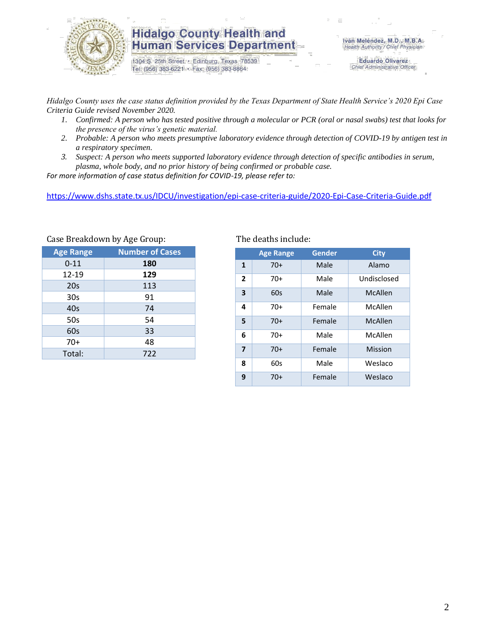

1304 S. 25th Street · Edinburg, Texas 78539 Tel: (956) 383-6221 · Fax: (956) 383-8864

**Eduardo Olivarez** Chief Administrative Officer

*Hidalgo County uses the case status definition provided by the Texas Department of State Health Service's 2020 Epi Case Criteria Guide revised November 2020.*

- *1. Confirmed: A person who has tested positive through a molecular or PCR (oral or nasal swabs) test that looks for the presence of the virus's genetic material.*
- *2. Probable: A person who meets presumptive laboratory evidence through detection of COVID-19 by antigen test in a respiratory specimen.*
- *3. Suspect: A person who meets supported laboratory evidence through detection of specific antibodies in serum, plasma, whole body, and no prior history of being confirmed or probable case.*

*For more information of case status definition for COVID-19, please refer to:*

<https://www.dshs.state.tx.us/IDCU/investigation/epi-case-criteria-guide/2020-Epi-Case-Criteria-Guide.pdf>

| $\frac{1}{2}$          |  |  |  |  |  |  |  |
|------------------------|--|--|--|--|--|--|--|
| <b>Number of Cases</b> |  |  |  |  |  |  |  |
| 180                    |  |  |  |  |  |  |  |
| 129                    |  |  |  |  |  |  |  |
| 113                    |  |  |  |  |  |  |  |
| 91                     |  |  |  |  |  |  |  |
| 74                     |  |  |  |  |  |  |  |
| 54                     |  |  |  |  |  |  |  |
| 33                     |  |  |  |  |  |  |  |
| 48                     |  |  |  |  |  |  |  |
| 722                    |  |  |  |  |  |  |  |
|                        |  |  |  |  |  |  |  |

Case Breakdown by Age Group: The deaths include:

|                         | <b>Age Range</b> | Gender | <b>City</b> |
|-------------------------|------------------|--------|-------------|
| 1                       | $70+$            | Male   | Alamo       |
|                         |                  |        |             |
| $\overline{2}$          | 70+              | Male   | Undisclosed |
| 3                       | 60s              | Male   | McAllen     |
| 4                       | $70+$            | Female | McAllen     |
| 5                       | $70+$            | Female | McAllen     |
| 6                       | $70+$            | Male   | McAllen     |
| $\overline{\mathbf{z}}$ | $70+$            | Female | Mission     |
| 8                       | 60s              | Male   | Weslaco     |
| 9                       | 70+              | Female | Weslaco     |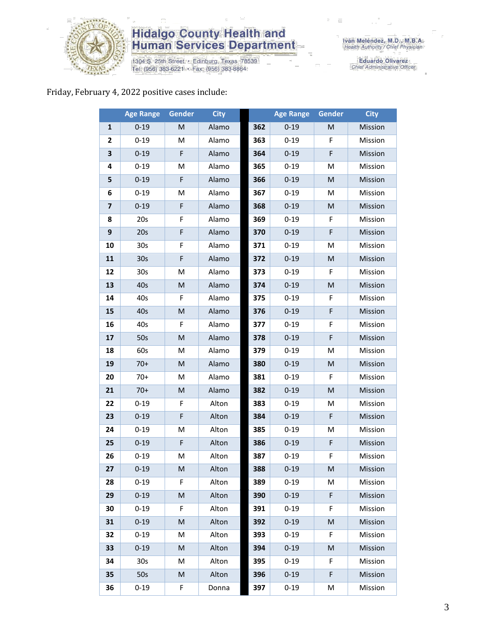

1304 S. 25th Street • Edinburg, Texas 78539<br>Tel: (956) 383-6221 • Fax: (956) 383-8864

Eduardo Olivarez<br>Chief Administrative Officer

#### Friday, February 4, 2022 positive cases include:

|                         | <b>Age Range</b> | Gender                                                                                                     | <b>City</b> |     | <b>Age Range</b> | Gender                                                                                                     | <b>City</b> |
|-------------------------|------------------|------------------------------------------------------------------------------------------------------------|-------------|-----|------------------|------------------------------------------------------------------------------------------------------------|-------------|
| 1                       | $0 - 19$         | M                                                                                                          | Alamo       | 362 | $0 - 19$         | M                                                                                                          | Mission     |
| $\mathbf{2}$            | $0 - 19$         | M                                                                                                          | Alamo       | 363 | $0 - 19$         | F                                                                                                          | Mission     |
| 3                       | $0 - 19$         | F                                                                                                          | Alamo       | 364 | $0 - 19$         | F                                                                                                          | Mission     |
| 4                       | $0 - 19$         | м                                                                                                          | Alamo       | 365 | $0 - 19$         | м                                                                                                          | Mission     |
| 5                       | $0 - 19$         | F                                                                                                          | Alamo       | 366 | $0 - 19$         | M                                                                                                          | Mission     |
| 6                       | $0 - 19$         | M                                                                                                          | Alamo       | 367 | $0 - 19$         | M                                                                                                          | Mission     |
| $\overline{\mathbf{z}}$ | $0 - 19$         | $\mathsf F$                                                                                                | Alamo       | 368 | $0 - 19$         | M                                                                                                          | Mission     |
| 8                       | 20s              | F                                                                                                          | Alamo       | 369 | $0 - 19$         | F                                                                                                          | Mission     |
| 9                       | 20s              | $\mathsf F$                                                                                                | Alamo       | 370 | $0 - 19$         | F                                                                                                          | Mission     |
| 10                      | 30s              | F                                                                                                          | Alamo       | 371 | $0 - 19$         | M                                                                                                          | Mission     |
| 11                      | 30 <sub>s</sub>  | F                                                                                                          | Alamo       | 372 | $0 - 19$         | M                                                                                                          | Mission     |
| 12                      | 30 <sub>s</sub>  | M                                                                                                          | Alamo       | 373 | $0 - 19$         | F                                                                                                          | Mission     |
| 13                      | 40s              | M                                                                                                          | Alamo       | 374 | $0 - 19$         | M                                                                                                          | Mission     |
| 14                      | 40s              | F                                                                                                          | Alamo       | 375 | $0 - 19$         | F                                                                                                          | Mission     |
| 15                      | 40s              | M                                                                                                          | Alamo       | 376 | $0 - 19$         | F                                                                                                          | Mission     |
| 16                      | 40s              | F                                                                                                          | Alamo       | 377 | $0 - 19$         | F                                                                                                          | Mission     |
| 17                      | 50s              | M                                                                                                          | Alamo       | 378 | $0 - 19$         | F                                                                                                          | Mission     |
| 18                      | 60s              | м                                                                                                          | Alamo       | 379 | $0 - 19$         | M                                                                                                          | Mission     |
| 19                      | $70+$            | M                                                                                                          | Alamo       | 380 | $0 - 19$         | M                                                                                                          | Mission     |
| 20                      | $70+$            | M                                                                                                          | Alamo       | 381 | $0 - 19$         | F                                                                                                          | Mission     |
| 21                      | $70+$            | $\mathsf{M}% _{T}=\mathsf{M}_{T}\!\left( a,b\right) ,\ \mathsf{M}_{T}=\mathsf{M}_{T}\!\left( a,b\right) ,$ | Alamo       | 382 | $0 - 19$         | $\mathsf{M}% _{T}=\mathsf{M}_{T}\!\left( a,b\right) ,\ \mathsf{M}_{T}=\mathsf{M}_{T}\!\left( a,b\right) ,$ | Mission     |
| 22                      | $0 - 19$         | F                                                                                                          | Alton       | 383 | $0 - 19$         | M                                                                                                          | Mission     |
| 23                      | $0 - 19$         | F                                                                                                          | Alton       | 384 | $0 - 19$         | F                                                                                                          | Mission     |
| 24                      | $0 - 19$         | M                                                                                                          | Alton       | 385 | $0 - 19$         | M                                                                                                          | Mission     |
| 25                      | $0 - 19$         | F                                                                                                          | Alton       | 386 | $0 - 19$         | F                                                                                                          | Mission     |
| 26                      | $0 - 19$         | M                                                                                                          | Alton       | 387 | $0 - 19$         | F                                                                                                          | Mission     |
| 27                      | $0 - 19$         | M                                                                                                          | Alton       | 388 | $0 - 19$         | M                                                                                                          | Mission     |
| 28                      | $0 - 19$         | F.                                                                                                         | Alton       | 389 | $0 - 19$         | м                                                                                                          | Mission     |
| 29                      | $0 - 19$         | M                                                                                                          | Alton       | 390 | $0 - 19$         | F                                                                                                          | Mission     |
| 30                      | $0 - 19$         | F                                                                                                          | Alton       | 391 | $0 - 19$         | F                                                                                                          | Mission     |
| 31                      | $0 - 19$         | M                                                                                                          | Alton       | 392 | $0 - 19$         | M                                                                                                          | Mission     |
| 32                      | $0 - 19$         | М                                                                                                          | Alton       | 393 | $0 - 19$         | F                                                                                                          | Mission     |
| 33                      | $0 - 19$         | M                                                                                                          | Alton       | 394 | $0 - 19$         | $\mathsf{M}% _{T}=\mathsf{M}_{T}\!\left( a,b\right) ,\ \mathsf{M}_{T}=\mathsf{M}_{T}\!\left( a,b\right) ,$ | Mission     |
| 34                      | 30 <sub>s</sub>  | M                                                                                                          | Alton       | 395 | $0 - 19$         | F                                                                                                          | Mission     |
| 35                      | 50s              | M                                                                                                          | Alton       | 396 | $0 - 19$         | F                                                                                                          | Mission     |
| 36                      | $0 - 19$         | F                                                                                                          | Donna       | 397 | $0 - 19$         | M                                                                                                          | Mission     |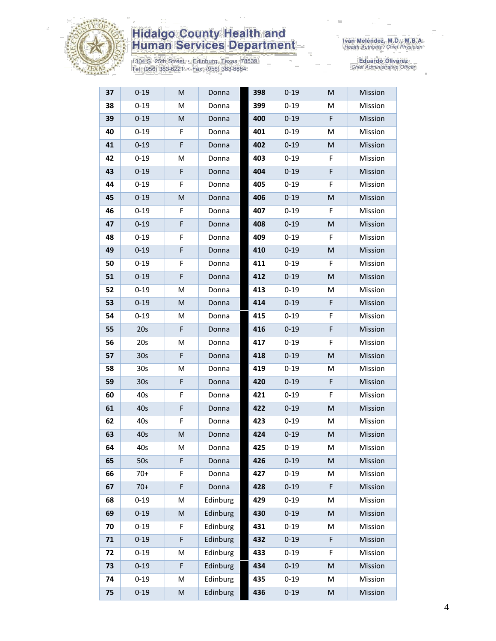

1304 S. 25th Street • Edinburg, Texas 78539<br>Tel: (956) 383-6221 • Fax: (956) 383-8864

| 37 | $0 - 19$        | $\mathsf{M}% _{T}=\mathsf{M}_{T}\!\left( a,b\right) ,\ \mathsf{M}_{T}=\mathsf{M}_{T}\!\left( a,b\right) ,$ | Donna    | 398 | $0 - 19$ | M | Mission |
|----|-----------------|------------------------------------------------------------------------------------------------------------|----------|-----|----------|---|---------|
| 38 | $0 - 19$        | M                                                                                                          | Donna    | 399 | $0 - 19$ | M | Mission |
| 39 | $0 - 19$        | M                                                                                                          | Donna    | 400 | $0 - 19$ | F | Mission |
| 40 | $0 - 19$        | F                                                                                                          | Donna    | 401 | $0 - 19$ | M | Mission |
| 41 | $0 - 19$        | F                                                                                                          | Donna    | 402 | $0 - 19$ | M | Mission |
| 42 | $0 - 19$        | M                                                                                                          | Donna    | 403 | $0 - 19$ | F | Mission |
| 43 | $0 - 19$        | F                                                                                                          | Donna    | 404 | $0 - 19$ | F | Mission |
| 44 | $0 - 19$        | F                                                                                                          | Donna    | 405 | $0 - 19$ | F | Mission |
| 45 | $0 - 19$        | M                                                                                                          | Donna    | 406 | $0 - 19$ | M | Mission |
| 46 | $0 - 19$        | F                                                                                                          | Donna    | 407 | $0 - 19$ | F | Mission |
| 47 | $0 - 19$        | F                                                                                                          | Donna    | 408 | $0 - 19$ | M | Mission |
| 48 | $0 - 19$        | F                                                                                                          | Donna    | 409 | $0 - 19$ | F | Mission |
| 49 | $0 - 19$        | F                                                                                                          | Donna    | 410 | $0 - 19$ | M | Mission |
| 50 | $0 - 19$        | F                                                                                                          | Donna    | 411 | $0 - 19$ | F | Mission |
| 51 | $0 - 19$        | F                                                                                                          | Donna    | 412 | $0 - 19$ | M | Mission |
| 52 | $0 - 19$        | M                                                                                                          | Donna    | 413 | $0 - 19$ | M | Mission |
| 53 | $0 - 19$        | M                                                                                                          | Donna    | 414 | $0 - 19$ | F | Mission |
| 54 | $0 - 19$        | M                                                                                                          | Donna    | 415 | $0 - 19$ | F | Mission |
| 55 | 20s             | F                                                                                                          | Donna    | 416 | $0 - 19$ | F | Mission |
| 56 | 20s             | M                                                                                                          | Donna    | 417 | $0 - 19$ | F | Mission |
| 57 | 30 <sub>s</sub> | F                                                                                                          | Donna    | 418 | $0 - 19$ | M | Mission |
| 58 | 30 <sub>s</sub> | M                                                                                                          | Donna    | 419 | $0 - 19$ | M | Mission |
| 59 | 30 <sub>s</sub> | F                                                                                                          | Donna    | 420 | $0 - 19$ | F | Mission |
| 60 | 40s             | F                                                                                                          | Donna    | 421 | $0 - 19$ | F | Mission |
| 61 | 40s             | F                                                                                                          | Donna    | 422 | $0 - 19$ | M | Mission |
| 62 | 40s             | F                                                                                                          | Donna    | 423 | $0 - 19$ | M | Mission |
| 63 | 40s             | M                                                                                                          | Donna    | 424 | $0 - 19$ | M | Mission |
| 64 | 40s             | M                                                                                                          | Donna    | 425 | $0 - 19$ | м | Mission |
| 65 | 50s             | F                                                                                                          | Donna    | 426 | $0 - 19$ | M | Mission |
| 66 | $70+$           | F                                                                                                          | Donna    | 427 | $0 - 19$ | M | Mission |
| 67 | $70+$           | F                                                                                                          | Donna    | 428 | $0 - 19$ | F | Mission |
| 68 | $0 - 19$        | M                                                                                                          | Edinburg | 429 | $0 - 19$ | M | Mission |
| 69 | $0 - 19$        | M                                                                                                          | Edinburg | 430 | $0 - 19$ | M | Mission |
| 70 | $0 - 19$        | F                                                                                                          | Edinburg | 431 | $0 - 19$ | M | Mission |
| 71 | $0 - 19$        | F                                                                                                          | Edinburg | 432 | $0 - 19$ | F | Mission |
| 72 | $0 - 19$        | M                                                                                                          | Edinburg | 433 | $0 - 19$ | F | Mission |
| 73 | $0 - 19$        | F                                                                                                          | Edinburg | 434 | $0 - 19$ | M | Mission |
| 74 | $0 - 19$        | M                                                                                                          | Edinburg | 435 | $0 - 19$ | M | Mission |
| 75 | $0 - 19$        | M                                                                                                          | Edinburg | 436 | $0 - 19$ | M | Mission |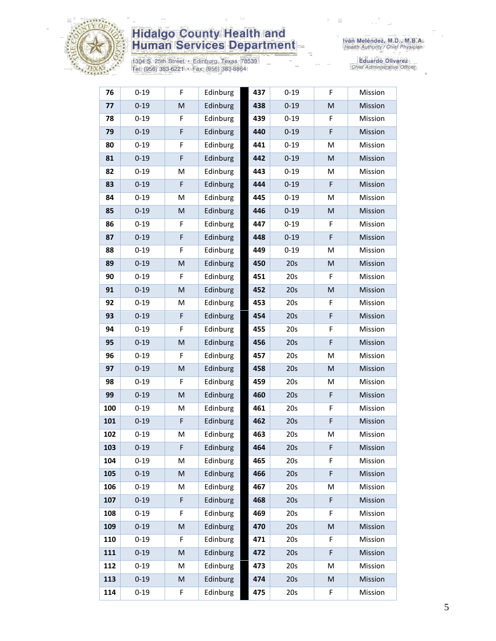

1304 S. 25th Street • Edinburg, Texas 78539<br>Tel: (956) 383-6221 • Fax: (956) 383-8864

| 76  | $0 - 19$ | F                                                                                                          | Edinburg | 437 | $0 - 19$ | F                                                                                                          | Mission |
|-----|----------|------------------------------------------------------------------------------------------------------------|----------|-----|----------|------------------------------------------------------------------------------------------------------------|---------|
| 77  | $0 - 19$ | $\mathsf{M}% _{T}=\mathsf{M}_{T}\!\left( a,b\right) ,\ \mathsf{M}_{T}=\mathsf{M}_{T}\!\left( a,b\right) ,$ | Edinburg | 438 | $0 - 19$ | $\mathsf{M}% _{T}=\mathsf{M}_{T}\!\left( a,b\right) ,\ \mathsf{M}_{T}=\mathsf{M}_{T}\!\left( a,b\right) ,$ | Mission |
| 78  | $0 - 19$ | F                                                                                                          | Edinburg | 439 | $0 - 19$ | F                                                                                                          | Mission |
| 79  | $0 - 19$ | F                                                                                                          | Edinburg | 440 | $0 - 19$ | F                                                                                                          | Mission |
| 80  | $0 - 19$ | F                                                                                                          | Edinburg | 441 | $0 - 19$ | M                                                                                                          | Mission |
| 81  | $0 - 19$ | F                                                                                                          | Edinburg | 442 | $0 - 19$ | M                                                                                                          | Mission |
| 82  | $0 - 19$ | M                                                                                                          | Edinburg | 443 | $0 - 19$ | M                                                                                                          | Mission |
| 83  | $0 - 19$ | F                                                                                                          | Edinburg | 444 | $0 - 19$ | F                                                                                                          | Mission |
| 84  | $0 - 19$ | M                                                                                                          | Edinburg | 445 | $0 - 19$ | M                                                                                                          | Mission |
| 85  | $0 - 19$ | M                                                                                                          | Edinburg | 446 | $0 - 19$ | M                                                                                                          | Mission |
| 86  | $0 - 19$ | F                                                                                                          | Edinburg | 447 | $0 - 19$ | F                                                                                                          | Mission |
| 87  | $0 - 19$ | F                                                                                                          | Edinburg | 448 | $0 - 19$ | F                                                                                                          | Mission |
| 88  | $0 - 19$ | F                                                                                                          | Edinburg | 449 | $0 - 19$ | M                                                                                                          | Mission |
| 89  | $0 - 19$ | $\mathsf{M}% _{T}=\mathsf{M}_{T}\!\left( a,b\right) ,\ \mathsf{M}_{T}=\mathsf{M}_{T}\!\left( a,b\right) ,$ | Edinburg | 450 | 20s      | M                                                                                                          | Mission |
| 90  | $0 - 19$ | F                                                                                                          | Edinburg | 451 | 20s      | F                                                                                                          | Mission |
| 91  | $0 - 19$ | M                                                                                                          | Edinburg | 452 | 20s      | $\mathsf{M}% _{T}=\mathsf{M}_{T}\!\left( a,b\right) ,\ \mathsf{M}_{T}=\mathsf{M}_{T}\!\left( a,b\right) ,$ | Mission |
| 92  | $0 - 19$ | M                                                                                                          | Edinburg | 453 | 20s      | F                                                                                                          | Mission |
| 93  | $0 - 19$ | F                                                                                                          | Edinburg | 454 | 20s      | F                                                                                                          | Mission |
| 94  | $0 - 19$ | F                                                                                                          | Edinburg | 455 | 20s      | F                                                                                                          | Mission |
| 95  | $0 - 19$ | M                                                                                                          | Edinburg | 456 | 20s      | F                                                                                                          | Mission |
| 96  | $0 - 19$ | F                                                                                                          | Edinburg | 457 | 20s      | M                                                                                                          | Mission |
| 97  | $0 - 19$ | M                                                                                                          | Edinburg | 458 | 20s      | M                                                                                                          | Mission |
| 98  | $0 - 19$ | F                                                                                                          | Edinburg | 459 | 20s      | M                                                                                                          | Mission |
| 99  | $0 - 19$ | M                                                                                                          | Edinburg | 460 | 20s      | F                                                                                                          | Mission |
| 100 | $0 - 19$ | M                                                                                                          | Edinburg | 461 | 20s      | F                                                                                                          | Mission |
| 101 | $0 - 19$ | F                                                                                                          | Edinburg | 462 | 20s      | F                                                                                                          | Mission |
| 102 | $0 - 19$ | M                                                                                                          | Edinburg | 463 | 20s      | M                                                                                                          | Mission |
| 103 | $0 - 19$ | F                                                                                                          | Edinburg | 464 | 20s      | F                                                                                                          | Mission |
| 104 | $0 - 19$ | M                                                                                                          | Edinburg | 465 | 20s      | F                                                                                                          | Mission |
| 105 | $0 - 19$ | ${\sf M}$                                                                                                  | Edinburg | 466 | 20s      | F                                                                                                          | Mission |
| 106 | $0 - 19$ | M                                                                                                          | Edinburg | 467 | 20s      | M                                                                                                          | Mission |
| 107 | $0 - 19$ | F                                                                                                          | Edinburg | 468 | 20s      | F                                                                                                          | Mission |
| 108 | $0 - 19$ | F                                                                                                          | Edinburg | 469 | 20s      | F                                                                                                          | Mission |
| 109 | $0 - 19$ | M                                                                                                          | Edinburg | 470 | 20s      | M                                                                                                          | Mission |
| 110 | $0 - 19$ | F                                                                                                          | Edinburg | 471 | 20s      | F                                                                                                          | Mission |
| 111 | $0 - 19$ | M                                                                                                          | Edinburg | 472 | 20s      | F                                                                                                          | Mission |
| 112 | $0 - 19$ | M                                                                                                          | Edinburg | 473 | 20s      | M                                                                                                          | Mission |
| 113 | $0 - 19$ | M                                                                                                          | Edinburg | 474 | 20s      | M                                                                                                          | Mission |
| 114 | $0 - 19$ | F                                                                                                          | Edinburg | 475 | 20s      | F                                                                                                          | Mission |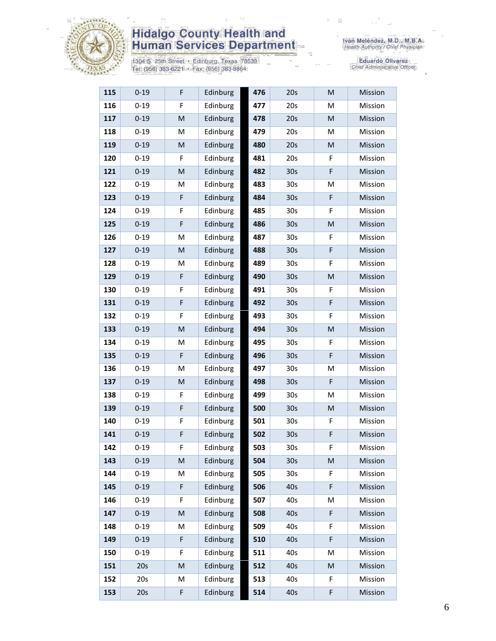

1304 S. 25th Street • Edinburg, Texas 78539<br>Tel: (956) 383-6221 • Fax: (956) 383-8864

| 115 | $0 - 19$ | F                                                                                                          | Edinburg | 476 | 20s             | M                                                                                                          | Mission |
|-----|----------|------------------------------------------------------------------------------------------------------------|----------|-----|-----------------|------------------------------------------------------------------------------------------------------------|---------|
| 116 | $0 - 19$ | F                                                                                                          | Edinburg | 477 | 20s             | M                                                                                                          | Mission |
| 117 | $0 - 19$ | $\mathsf{M}% _{T}=\mathsf{M}_{T}\!\left( a,b\right) ,\ \mathsf{M}_{T}=\mathsf{M}_{T}\!\left( a,b\right) ,$ | Edinburg | 478 | 20s             | M                                                                                                          | Mission |
| 118 | $0 - 19$ | M                                                                                                          | Edinburg | 479 | 20s             | M                                                                                                          | Mission |
| 119 | $0 - 19$ | M                                                                                                          | Edinburg | 480 | 20s             | $\mathsf{M}% _{T}=\mathsf{M}_{T}\!\left( a,b\right) ,\ \mathsf{M}_{T}=\mathsf{M}_{T}\!\left( a,b\right) ,$ | Mission |
| 120 | $0 - 19$ | F                                                                                                          | Edinburg | 481 | 20s             | F                                                                                                          | Mission |
| 121 | $0 - 19$ | $\mathsf{M}% _{T}=\mathsf{M}_{T}\!\left( a,b\right) ,\ \mathsf{M}_{T}=\mathsf{M}_{T}\!\left( a,b\right) ,$ | Edinburg | 482 | 30 <sub>s</sub> | F                                                                                                          | Mission |
| 122 | $0 - 19$ | M                                                                                                          | Edinburg | 483 | 30 <sub>s</sub> | M                                                                                                          | Mission |
| 123 | $0 - 19$ | F                                                                                                          | Edinburg | 484 | 30 <sub>s</sub> | F                                                                                                          | Mission |
| 124 | $0 - 19$ | F                                                                                                          | Edinburg | 485 | 30 <sub>s</sub> | F                                                                                                          | Mission |
| 125 | $0 - 19$ | F                                                                                                          | Edinburg | 486 | 30 <sub>s</sub> | M                                                                                                          | Mission |
| 126 | $0 - 19$ | M                                                                                                          | Edinburg | 487 | 30 <sub>s</sub> | F                                                                                                          | Mission |
| 127 | $0 - 19$ | ${\sf M}$                                                                                                  | Edinburg | 488 | 30 <sub>s</sub> | F                                                                                                          | Mission |
| 128 | $0 - 19$ | M                                                                                                          | Edinburg | 489 | 30 <sub>s</sub> | F                                                                                                          | Mission |
| 129 | $0 - 19$ | F                                                                                                          | Edinburg | 490 | 30 <sub>s</sub> | M                                                                                                          | Mission |
| 130 | $0 - 19$ | F                                                                                                          | Edinburg | 491 | 30 <sub>s</sub> | F                                                                                                          | Mission |
| 131 | $0 - 19$ | F                                                                                                          | Edinburg | 492 | 30 <sub>s</sub> | F                                                                                                          | Mission |
| 132 | $0 - 19$ | F                                                                                                          | Edinburg | 493 | 30s             | F                                                                                                          | Mission |
| 133 | $0 - 19$ | ${\sf M}$                                                                                                  | Edinburg | 494 | 30 <sub>s</sub> | ${\sf M}$                                                                                                  | Mission |
| 134 | $0 - 19$ | M                                                                                                          | Edinburg | 495 | 30 <sub>s</sub> | F                                                                                                          | Mission |
| 135 | $0 - 19$ | F                                                                                                          | Edinburg | 496 | 30 <sub>s</sub> | F                                                                                                          | Mission |
| 136 | $0 - 19$ | M                                                                                                          | Edinburg | 497 | 30s             | M                                                                                                          | Mission |
| 137 | $0 - 19$ | M                                                                                                          | Edinburg | 498 | 30 <sub>s</sub> | F                                                                                                          | Mission |
| 138 | $0 - 19$ | F                                                                                                          | Edinburg | 499 | 30 <sub>s</sub> | M                                                                                                          | Mission |
| 139 | $0 - 19$ | F                                                                                                          | Edinburg | 500 | 30 <sub>s</sub> | M                                                                                                          | Mission |
| 140 | $0 - 19$ | F                                                                                                          | Edinburg | 501 | 30s             | F                                                                                                          | Mission |
| 141 | $0 - 19$ | F                                                                                                          | Edinburg | 502 | 30 <sub>s</sub> | F                                                                                                          | Mission |
| 142 | $0 - 19$ | F                                                                                                          | Edinburg | 503 | 30s             | F                                                                                                          | Mission |
| 143 | $0 - 19$ | M                                                                                                          | Edinburg | 504 | 30 <sub>s</sub> | M                                                                                                          | Mission |
| 144 | $0 - 19$ | M                                                                                                          | Edinburg | 505 | 30s             | F                                                                                                          | Mission |
| 145 | $0 - 19$ | F                                                                                                          | Edinburg | 506 | 40s             | F                                                                                                          | Mission |
| 146 | $0 - 19$ | F                                                                                                          | Edinburg | 507 | 40s             | M                                                                                                          | Mission |
| 147 | $0 - 19$ | ${\sf M}$                                                                                                  | Edinburg | 508 | 40s             | F                                                                                                          | Mission |
| 148 | $0 - 19$ | M                                                                                                          | Edinburg | 509 | 40s             | F                                                                                                          | Mission |
| 149 | $0 - 19$ | F                                                                                                          | Edinburg | 510 | 40s             | F                                                                                                          | Mission |
| 150 | $0 - 19$ | F                                                                                                          | Edinburg | 511 | 40s             | M                                                                                                          | Mission |
| 151 | 20s      | M                                                                                                          | Edinburg | 512 | 40s             | M                                                                                                          | Mission |
| 152 | 20s      | M                                                                                                          | Edinburg | 513 | 40s             | F                                                                                                          | Mission |
| 153 | 20s      | F                                                                                                          | Edinburg | 514 | 40s             | F                                                                                                          | Mission |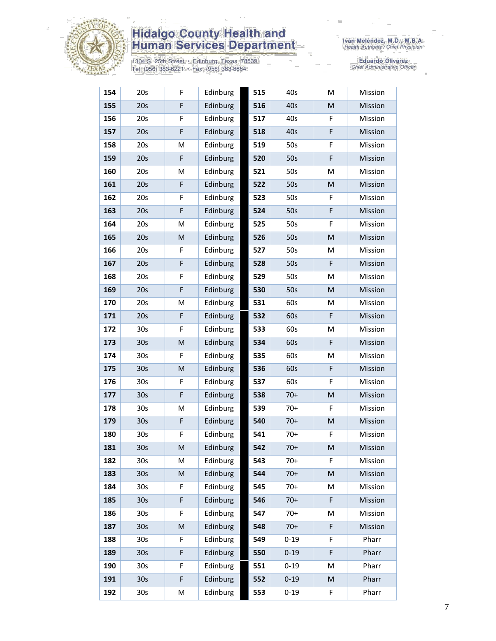

1304 S. 25th Street • Edinburg, Texas 78539<br>Tel: (956) 383-6221 • Fax: (956) 383-8864

| 154 | 20s             | F         | Edinburg | 515 | 40s      | M | Mission |
|-----|-----------------|-----------|----------|-----|----------|---|---------|
| 155 | 20s             | F         | Edinburg | 516 | 40s      | M | Mission |
| 156 | 20s             | F         | Edinburg | 517 | 40s      | F | Mission |
| 157 | 20s             | F         | Edinburg | 518 | 40s      | F | Mission |
| 158 | 20s             | M         | Edinburg | 519 | 50s      | F | Mission |
| 159 | 20s             | F         | Edinburg | 520 | 50s      | F | Mission |
| 160 | 20s             | M         | Edinburg | 521 | 50s      | M | Mission |
| 161 | 20s             | F         | Edinburg | 522 | 50s      | M | Mission |
| 162 | 20s             | F         | Edinburg | 523 | 50s      | F | Mission |
| 163 | 20s             | F         | Edinburg | 524 | 50s      | F | Mission |
| 164 | 20s             | M         | Edinburg | 525 | 50s      | F | Mission |
| 165 | 20s             | ${\sf M}$ | Edinburg | 526 | 50s      | M | Mission |
| 166 | 20s             | F         | Edinburg | 527 | 50s      | M | Mission |
| 167 | 20s             | F         | Edinburg | 528 | 50s      | F | Mission |
| 168 | 20s             | F         | Edinburg | 529 | 50s      | M | Mission |
| 169 | 20s             | F         | Edinburg | 530 | 50s      | M | Mission |
| 170 | 20s             | M         | Edinburg | 531 | 60s      | M | Mission |
| 171 | 20s             | F         | Edinburg | 532 | 60s      | F | Mission |
| 172 | 30 <sub>s</sub> | F         | Edinburg | 533 | 60s      | M | Mission |
| 173 | 30 <sub>s</sub> | M         | Edinburg | 534 | 60s      | F | Mission |
| 174 | 30 <sub>s</sub> | F         | Edinburg | 535 | 60s      | M | Mission |
| 175 | 30 <sub>s</sub> | M         | Edinburg | 536 | 60s      | F | Mission |
| 176 | 30 <sub>s</sub> | F         | Edinburg | 537 | 60s      | F | Mission |
| 177 | 30 <sub>s</sub> | F         | Edinburg | 538 | $70+$    | M | Mission |
| 178 | 30s             | M         | Edinburg | 539 | $70+$    | F | Mission |
| 179 | 30 <sub>s</sub> | F         | Edinburg | 540 | $70+$    | M | Mission |
| 180 | 30s             | F         | Edinburg | 541 | $70+$    | F | Mission |
| 181 | 30 <sub>s</sub> | M         | Edinburg | 542 | $70+$    | M | Mission |
| 182 | 30 <sub>s</sub> | M         | Edinburg | 543 | $70+$    | F | Mission |
| 183 | 30 <sub>s</sub> | ${\sf M}$ | Edinburg | 544 | $70+$    | M | Mission |
| 184 | 30 <sub>s</sub> | F         | Edinburg | 545 | $70+$    | M | Mission |
| 185 | 30 <sub>s</sub> | F         | Edinburg | 546 | $70+$    | F | Mission |
| 186 | 30 <sub>s</sub> | F         | Edinburg | 547 | $70+$    | М | Mission |
| 187 | 30 <sub>s</sub> | M         | Edinburg | 548 | $70+$    | F | Mission |
| 188 | 30 <sub>s</sub> | F         | Edinburg | 549 | $0 - 19$ | F | Pharr   |
| 189 | 30 <sub>s</sub> | F         | Edinburg | 550 | $0 - 19$ | F | Pharr   |
| 190 | 30 <sub>s</sub> | F         | Edinburg | 551 | $0 - 19$ | M | Pharr   |
| 191 | 30 <sub>s</sub> | F         | Edinburg | 552 | $0 - 19$ | M | Pharr   |
| 192 | 30 <sub>s</sub> | M         | Edinburg | 553 | $0 - 19$ | F | Pharr   |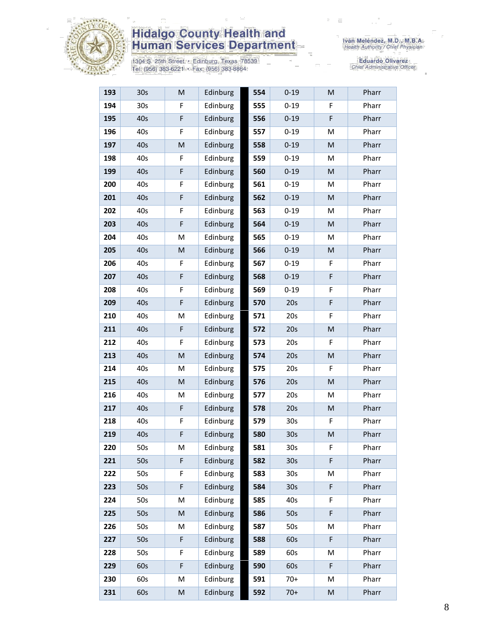

1304 S. 25th Street • Edinburg, Texas 78539<br>Tel: (956) 383-6221 • Fax: (956) 383-8864

| 193 | 30 <sub>s</sub> | M           | Edinburg | 554 | $0 - 19$        | M | Pharr |
|-----|-----------------|-------------|----------|-----|-----------------|---|-------|
| 194 | 30s             | F           | Edinburg | 555 | $0 - 19$        | F | Pharr |
| 195 | 40s             | F           | Edinburg | 556 | $0 - 19$        | F | Pharr |
| 196 | 40s             | F           | Edinburg | 557 | $0 - 19$        | M | Pharr |
| 197 | 40s             | M           | Edinburg | 558 | $0 - 19$        | M | Pharr |
| 198 | 40s             | F           | Edinburg | 559 | $0 - 19$        | M | Pharr |
| 199 | 40s             | F           | Edinburg | 560 | $0 - 19$        | M | Pharr |
| 200 | 40s             | F           | Edinburg | 561 | $0 - 19$        | M | Pharr |
| 201 | 40s             | F           | Edinburg | 562 | $0 - 19$        | M | Pharr |
| 202 | 40s             | F           | Edinburg | 563 | $0 - 19$        | M | Pharr |
| 203 | 40s             | F           | Edinburg | 564 | $0 - 19$        | M | Pharr |
| 204 | 40s             | M           | Edinburg | 565 | $0 - 19$        | M | Pharr |
| 205 | 40s             | M           | Edinburg | 566 | $0 - 19$        | M | Pharr |
| 206 | 40s             | F           | Edinburg | 567 | $0 - 19$        | F | Pharr |
| 207 | 40s             | F           | Edinburg | 568 | $0 - 19$        | F | Pharr |
| 208 | 40s             | F           | Edinburg | 569 | $0 - 19$        | F | Pharr |
| 209 | 40s             | F           | Edinburg | 570 | 20s             | F | Pharr |
| 210 | 40s             | M           | Edinburg | 571 | 20s             | F | Pharr |
| 211 | 40s             | $\mathsf F$ | Edinburg | 572 | 20s             | M | Pharr |
| 212 | 40s             | F           | Edinburg | 573 | 20s             | F | Pharr |
| 213 | 40s             | ${\sf M}$   | Edinburg | 574 | 20s             | M | Pharr |
| 214 | 40s             | M           | Edinburg | 575 | 20s             | F | Pharr |
| 215 | 40s             | M           | Edinburg | 576 | 20s             | M | Pharr |
| 216 | 40s             | M           | Edinburg | 577 | 20s             | M | Pharr |
| 217 | 40s             | F           | Edinburg | 578 | 20s             | M | Pharr |
| 218 | 40s             | F           | Edinburg | 579 | 30 <sub>s</sub> | F | Pharr |
| 219 | 40s             | F           | Edinburg | 580 | 30 <sub>s</sub> | M | Pharr |
| 220 | 50s             | M           | Edinburg | 581 | 30 <sub>s</sub> | F | Pharr |
| 221 | 50s             | F           | Edinburg | 582 | 30 <sub>s</sub> | F | Pharr |
| 222 | 50s             | F           | Edinburg | 583 | 30 <sub>s</sub> | M | Pharr |
| 223 | 50s             | F           | Edinburg | 584 | 30 <sub>s</sub> | F | Pharr |
| 224 | 50s             | M           | Edinburg | 585 | 40s             | F | Pharr |
| 225 | 50s             | M           | Edinburg | 586 | 50s             | F | Pharr |
| 226 | 50s             | M           | Edinburg | 587 | 50s             | M | Pharr |
| 227 | 50s             | F           | Edinburg | 588 | 60s             | F | Pharr |
| 228 | 50s             | F           | Edinburg | 589 | 60s             | M | Pharr |
| 229 | 60s             | F           | Edinburg | 590 | 60s             | F | Pharr |
| 230 | 60s             | M           | Edinburg | 591 | $70+$           | M | Pharr |
| 231 | 60s             | M           | Edinburg | 592 | $70+$           | M | Pharr |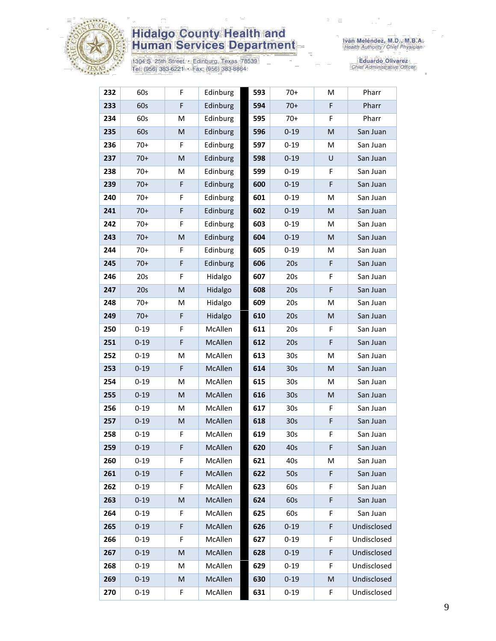

1304 S. 25th Street • Edinburg, Texas 78539<br>Tel: (956) 383-6221 • Fax: (956) 383-8864

| 232 | 60s      | F                                                                                                          | Edinburg | 593 | $70+$           | M | Pharr       |
|-----|----------|------------------------------------------------------------------------------------------------------------|----------|-----|-----------------|---|-------------|
| 233 | 60s      | F                                                                                                          | Edinburg | 594 | $70+$           | F | Pharr       |
| 234 | 60s      | M                                                                                                          | Edinburg | 595 | $70+$           | F | Pharr       |
| 235 | 60s      | M                                                                                                          | Edinburg | 596 | $0 - 19$        | M | San Juan    |
| 236 | $70+$    | F                                                                                                          | Edinburg | 597 | $0 - 19$        | M | San Juan    |
| 237 | $70+$    | M                                                                                                          | Edinburg | 598 | $0 - 19$        | U | San Juan    |
| 238 | $70+$    | М                                                                                                          | Edinburg | 599 | $0 - 19$        | F | San Juan    |
| 239 | $70+$    | F                                                                                                          | Edinburg | 600 | $0 - 19$        | F | San Juan    |
| 240 | $70+$    | F                                                                                                          | Edinburg | 601 | $0 - 19$        | M | San Juan    |
| 241 | $70+$    | F                                                                                                          | Edinburg | 602 | $0 - 19$        | M | San Juan    |
| 242 | $70+$    | F                                                                                                          | Edinburg | 603 | $0 - 19$        | M | San Juan    |
| 243 | $70+$    | M                                                                                                          | Edinburg | 604 | $0 - 19$        | M | San Juan    |
| 244 | $70+$    | F                                                                                                          | Edinburg | 605 | $0 - 19$        | м | San Juan    |
| 245 | $70+$    | $\mathsf F$                                                                                                | Edinburg | 606 | 20s             | F | San Juan    |
| 246 | 20s      | F                                                                                                          | Hidalgo  | 607 | 20s             | F | San Juan    |
| 247 | 20s      | $\mathsf{M}% _{T}=\mathsf{M}_{T}\!\left( a,b\right) ,\ \mathsf{M}_{T}=\mathsf{M}_{T}\!\left( a,b\right) ,$ | Hidalgo  | 608 | 20s             | F | San Juan    |
| 248 | $70+$    | M                                                                                                          | Hidalgo  | 609 | 20s             | M | San Juan    |
| 249 | $70+$    | F                                                                                                          | Hidalgo  | 610 | 20s             | M | San Juan    |
| 250 | $0 - 19$ | F                                                                                                          | McAllen  | 611 | 20s             | F | San Juan    |
| 251 | $0 - 19$ | $\mathsf F$                                                                                                | McAllen  | 612 | 20s             | F | San Juan    |
| 252 | $0 - 19$ | M                                                                                                          | McAllen  | 613 | 30 <sub>s</sub> | M | San Juan    |
| 253 | $0 - 19$ | F                                                                                                          | McAllen  | 614 | 30 <sub>s</sub> | M | San Juan    |
| 254 | $0 - 19$ | M                                                                                                          | McAllen  | 615 | 30 <sub>s</sub> | M | San Juan    |
| 255 | $0 - 19$ | M                                                                                                          | McAllen  | 616 | 30 <sub>s</sub> | M | San Juan    |
| 256 | $0 - 19$ | М                                                                                                          | McAllen  | 617 | 30 <sub>s</sub> | F | San Juan    |
| 257 | $0 - 19$ | M                                                                                                          | McAllen  | 618 | 30 <sub>s</sub> | F | San Juan    |
| 258 | $0 - 19$ | F.                                                                                                         | McAllen  | 619 | 30s             | F | San Juan    |
| 259 | $0 - 19$ | F                                                                                                          | McAllen  | 620 | 40s             | F | San Juan    |
| 260 | $0 - 19$ | F                                                                                                          | McAllen  | 621 | 40s             | М | San Juan    |
| 261 | $0 - 19$ | $\mathsf F$                                                                                                | McAllen  | 622 | 50s             | F | San Juan    |
| 262 | $0 - 19$ | F                                                                                                          | McAllen  | 623 | 60s             | F | San Juan    |
| 263 | $0 - 19$ | M                                                                                                          | McAllen  | 624 | 60s             | F | San Juan    |
| 264 | $0 - 19$ | F                                                                                                          | McAllen  | 625 | 60s             | F | San Juan    |
| 265 | $0 - 19$ | F                                                                                                          | McAllen  | 626 | $0 - 19$        | F | Undisclosed |
| 266 | $0 - 19$ | F                                                                                                          | McAllen  | 627 | $0 - 19$        | F | Undisclosed |
| 267 | $0 - 19$ | $\mathsf{M}% _{T}=\mathsf{M}_{T}\!\left( a,b\right) ,\ \mathsf{M}_{T}=\mathsf{M}_{T}\!\left( a,b\right) ,$ | McAllen  | 628 | $0 - 19$        | F | Undisclosed |
| 268 | $0 - 19$ | M                                                                                                          | McAllen  | 629 | $0 - 19$        | F | Undisclosed |
| 269 | $0 - 19$ | M                                                                                                          | McAllen  | 630 | $0 - 19$        | M | Undisclosed |
| 270 | $0 - 19$ | F                                                                                                          | McAllen  | 631 | $0 - 19$        | F | Undisclosed |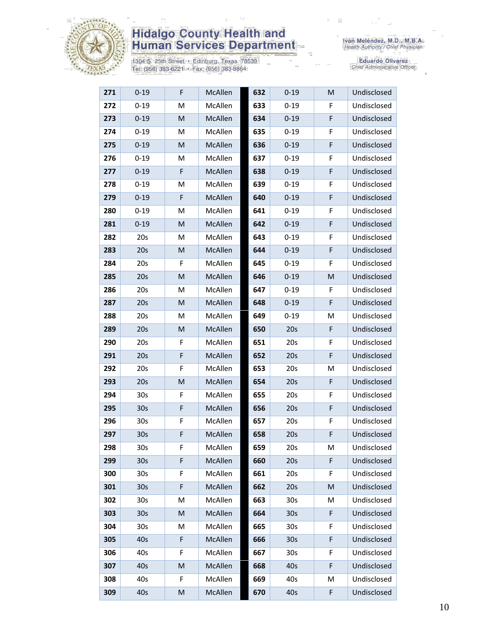

1304 S. 25th Street • Edinburg, Texas 78539<br>Tel: (956) 383-6221 • Fax: (956) 383-8864

| 271 | $0 - 19$        | F | McAllen | 632 | $0 - 19$        | $\mathsf{M}% _{T}=\mathsf{M}_{T}\!\left( a,b\right) ,\ \mathsf{M}_{T}=\mathsf{M}_{T}\!\left( a,b\right) ,$ | Undisclosed |
|-----|-----------------|---|---------|-----|-----------------|------------------------------------------------------------------------------------------------------------|-------------|
| 272 | $0 - 19$        | M | McAllen | 633 | $0 - 19$        | F                                                                                                          | Undisclosed |
| 273 | $0 - 19$        | M | McAllen | 634 | $0 - 19$        | F                                                                                                          | Undisclosed |
| 274 | $0 - 19$        | М | McAllen | 635 | $0 - 19$        | F                                                                                                          | Undisclosed |
| 275 | $0 - 19$        | M | McAllen | 636 | $0 - 19$        | F                                                                                                          | Undisclosed |
| 276 | $0 - 19$        | М | McAllen | 637 | $0 - 19$        | F                                                                                                          | Undisclosed |
| 277 | $0 - 19$        | F | McAllen | 638 | $0 - 19$        | F                                                                                                          | Undisclosed |
| 278 | $0 - 19$        | M | McAllen | 639 | $0 - 19$        | F                                                                                                          | Undisclosed |
| 279 | $0 - 19$        | F | McAllen | 640 | $0 - 19$        | F                                                                                                          | Undisclosed |
| 280 | $0 - 19$        | М | McAllen | 641 | $0 - 19$        | F                                                                                                          | Undisclosed |
| 281 | $0 - 19$        | M | McAllen | 642 | $0 - 19$        | F                                                                                                          | Undisclosed |
| 282 | 20s             | M | McAllen | 643 | $0 - 19$        | F                                                                                                          | Undisclosed |
| 283 | 20s             | M | McAllen | 644 | $0 - 19$        | F                                                                                                          | Undisclosed |
| 284 | 20s             | F | McAllen | 645 | $0 - 19$        | F                                                                                                          | Undisclosed |
| 285 | 20s             | M | McAllen | 646 | $0 - 19$        | M                                                                                                          | Undisclosed |
| 286 | 20s             | Μ | McAllen | 647 | $0 - 19$        | F                                                                                                          | Undisclosed |
| 287 | 20s             | M | McAllen | 648 | $0 - 19$        | F                                                                                                          | Undisclosed |
| 288 | 20s             | М | McAllen | 649 | $0 - 19$        | M                                                                                                          | Undisclosed |
| 289 | 20s             | M | McAllen | 650 | 20s             | F                                                                                                          | Undisclosed |
| 290 | 20s             | F | McAllen | 651 | 20s             | F                                                                                                          | Undisclosed |
| 291 | 20s             | F | McAllen | 652 | 20s             | F                                                                                                          | Undisclosed |
| 292 | 20s             | F | McAllen | 653 | 20s             | M                                                                                                          | Undisclosed |
| 293 | 20s             | M | McAllen | 654 | 20s             | F                                                                                                          | Undisclosed |
| 294 | 30 <sub>s</sub> | F | McAllen | 655 | 20s             | F                                                                                                          | Undisclosed |
| 295 | 30 <sub>s</sub> | F | McAllen | 656 | 20s             | F                                                                                                          | Undisclosed |
| 296 | 30s             | F | McAllen | 657 | 20s             | F                                                                                                          | Undisclosed |
| 297 | 30 <sub>s</sub> | F | McAllen | 658 | 20s             | F                                                                                                          | Undisclosed |
| 298 | 30 <sub>s</sub> | F | McAllen | 659 | 20s             | M                                                                                                          | Undisclosed |
| 299 | 30 <sub>s</sub> | F | McAllen | 660 | 20s             | F                                                                                                          | Undisclosed |
| 300 | 30 <sub>s</sub> | F | McAllen | 661 | 20s             | F                                                                                                          | Undisclosed |
| 301 | 30 <sub>s</sub> | F | McAllen | 662 | 20s             | M                                                                                                          | Undisclosed |
| 302 | 30 <sub>s</sub> | M | McAllen | 663 | 30s             | M                                                                                                          | Undisclosed |
| 303 | 30s             | M | McAllen | 664 | 30 <sub>s</sub> | F                                                                                                          | Undisclosed |
| 304 | 30 <sub>s</sub> | М | McAllen | 665 | 30s             | F                                                                                                          | Undisclosed |
| 305 | 40s             | F | McAllen | 666 | 30 <sub>s</sub> | F                                                                                                          | Undisclosed |
| 306 | 40s             | F | McAllen | 667 | 30 <sub>s</sub> | F                                                                                                          | Undisclosed |
| 307 | 40s             | M | McAllen | 668 | 40s             | F                                                                                                          | Undisclosed |
| 308 | 40s             | F | McAllen | 669 | 40s             | M                                                                                                          | Undisclosed |
| 309 | 40s             | M | McAllen | 670 | 40s             | F                                                                                                          | Undisclosed |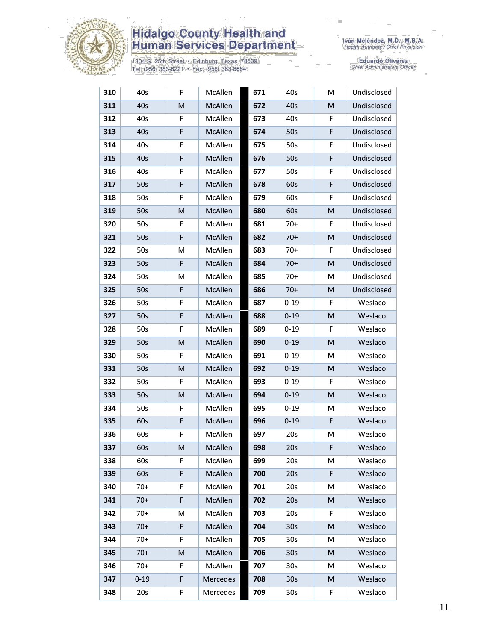

1304 S. 25th Street • Edinburg, Texas 78539<br>Tel: (956) 383-6221 • Fax: (956) 383-8864

Iván Meléndez, M.D., M.B.A.<br>Health Authority / Chief Physician

| 310 | 40s      | F | McAllen  | 671 | 40s             | M | Undisclosed |
|-----|----------|---|----------|-----|-----------------|---|-------------|
| 311 | 40s      | M | McAllen  | 672 | 40s             | M | Undisclosed |
| 312 | 40s      | F | McAllen  | 673 | 40s             | F | Undisclosed |
| 313 | 40s      | F | McAllen  | 674 | 50s             | F | Undisclosed |
| 314 | 40s      | F | McAllen  | 675 | 50s             | F | Undisclosed |
| 315 | 40s      | F | McAllen  | 676 | 50s             | F | Undisclosed |
| 316 | 40s      | F | McAllen  | 677 | 50s             | F | Undisclosed |
| 317 | 50s      | F | McAllen  | 678 | 60s             | F | Undisclosed |
| 318 | 50s      | F | McAllen  | 679 | 60s             | F | Undisclosed |
| 319 | 50s      | M | McAllen  | 680 | 60s             | M | Undisclosed |
| 320 | 50s      | F | McAllen  | 681 | $70+$           | F | Undisclosed |
| 321 | 50s      | F | McAllen  | 682 | $70+$           | M | Undisclosed |
| 322 | 50s      | M | McAllen  | 683 | $70+$           | F | Undisclosed |
| 323 | 50s      | F | McAllen  | 684 | $70+$           | M | Undisclosed |
| 324 | 50s      | M | McAllen  | 685 | $70+$           | M | Undisclosed |
| 325 | 50s      | F | McAllen  | 686 | $70+$           | M | Undisclosed |
| 326 | 50s      | F | McAllen  | 687 | $0 - 19$        | F | Weslaco     |
| 327 | 50s      | F | McAllen  | 688 | $0 - 19$        | M | Weslaco     |
| 328 | 50s      | F | McAllen  | 689 | $0 - 19$        | F | Weslaco     |
| 329 | 50s      | M | McAllen  | 690 | $0 - 19$        | M | Weslaco     |
| 330 | 50s      | F | McAllen  | 691 | $0 - 19$        | M | Weslaco     |
| 331 | 50s      | M | McAllen  | 692 | $0 - 19$        | M | Weslaco     |
| 332 | 50s      | F | McAllen  | 693 | $0 - 19$        | F | Weslaco     |
| 333 | 50s      | M | McAllen  | 694 | $0 - 19$        | M | Weslaco     |
| 334 | 50s      | F | McAllen  | 695 | $0 - 19$        | м | Weslaco     |
| 335 | 60s      | F | McAllen  | 696 | $0 - 19$        | F | Weslaco     |
| 336 | 60s      | F | McAllen  | 697 | 20s             | M | Weslaco     |
| 337 | 60s      | M | McAllen  | 698 | 20s             | F | Weslaco     |
| 338 | 60s      | F | McAllen  | 699 | 20s             | М | Weslaco     |
| 339 | 60s      | F | McAllen  | 700 | 20s             | F | Weslaco     |
| 340 | $70+$    | F | McAllen  | 701 | 20s             | M | Weslaco     |
| 341 | $70+$    | F | McAllen  | 702 | 20s             | M | Weslaco     |
| 342 | $70+$    | M | McAllen  | 703 | 20s             | F | Weslaco     |
| 343 | $70+$    | F | McAllen  | 704 | 30 <sub>s</sub> | M | Weslaco     |
| 344 | $70+$    | F | McAllen  | 705 | 30 <sub>s</sub> | M | Weslaco     |
| 345 | $70+$    | M | McAllen  | 706 | 30 <sub>s</sub> | M | Weslaco     |
| 346 | $70+$    | F | McAllen  | 707 | 30 <sub>s</sub> | M | Weslaco     |
| 347 | $0 - 19$ | F | Mercedes | 708 | 30 <sub>s</sub> | M | Weslaco     |
| 348 | 20s      | F | Mercedes | 709 | 30 <sub>s</sub> | F | Weslaco     |